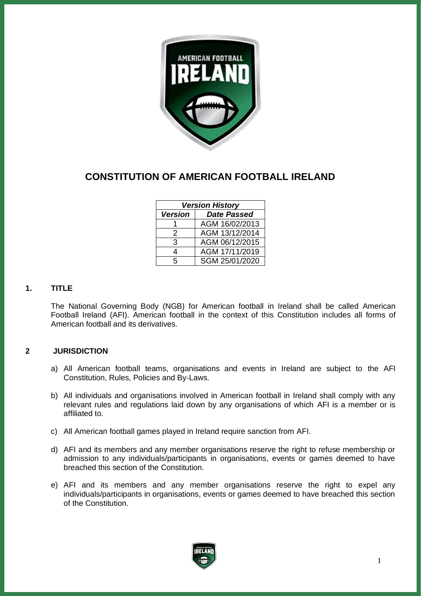

# **CONSTITUTION OF AMERICAN FOOTBALL IRELAND**

| <b>Version History</b> |                    |
|------------------------|--------------------|
| <b>Version</b>         | <b>Date Passed</b> |
|                        | AGM 16/02/2013     |
| 2                      | AGM 13/12/2014     |
| 3                      | AGM 06/12/2015     |
| 4                      | AGM 17/11/2019     |
| 5                      | SGM 25/01/2020     |

# **1. TITLE**

The National Governing Body (NGB) for American football in Ireland shall be called American Football Ireland (AFI). American football in the context of this Constitution includes all forms of American football and its derivatives.

# **2 JURISDICTION**

- a) All American football teams, organisations and events in Ireland are subject to the AFI Constitution, Rules, Policies and By-Laws.
- b) All individuals and organisations involved in American football in Ireland shall comply with any relevant rules and regulations laid down by any organisations of which AFI is a member or is affiliated to.
- c) All American football games played in Ireland require sanction from AFI.
- d) AFI and its members and any member organisations reserve the right to refuse membership or admission to any individuals/participants in organisations, events or games deemed to have breached this section of the Constitution.
- e) AFI and its members and any member organisations reserve the right to expel any individuals/participants in organisations, events or games deemed to have breached this section of the Constitution.

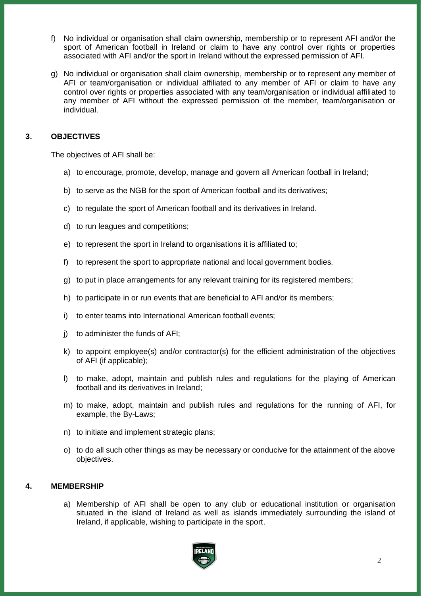- f) No individual or organisation shall claim ownership, membership or to represent AFI and/or the sport of American football in Ireland or claim to have any control over rights or properties associated with AFI and/or the sport in Ireland without the expressed permission of AFI.
- g) No individual or organisation shall claim ownership, membership or to represent any member of AFI or team/organisation or individual affiliated to any member of AFI or claim to have any control over rights or properties associated with any team/organisation or individual affiliated to any member of AFI without the expressed permission of the member, team/organisation or individual.

# **3. OBJECTIVES**

The objectives of AFI shall be:

- a) to encourage, promote, develop, manage and govern all American football in Ireland;
- b) to serve as the NGB for the sport of American football and its derivatives;
- c) to regulate the sport of American football and its derivatives in Ireland.
- d) to run leagues and competitions;
- e) to represent the sport in Ireland to organisations it is affiliated to;
- f) to represent the sport to appropriate national and local government bodies.
- g) to put in place arrangements for any relevant training for its registered members;
- h) to participate in or run events that are beneficial to AFI and/or its members;
- i) to enter teams into International American football events;
- j) to administer the funds of AFI;
- k) to appoint employee(s) and/or contractor(s) for the efficient administration of the objectives of AFI (if applicable);
- l) to make, adopt, maintain and publish rules and regulations for the playing of American football and its derivatives in Ireland;
- m) to make, adopt, maintain and publish rules and regulations for the running of AFI, for example, the By-Laws;
- n) to initiate and implement strategic plans;
- o) to do all such other things as may be necessary or conducive for the attainment of the above objectives.

## **4. MEMBERSHIP**

a) Membership of AFI shall be open to any club or educational institution or organisation situated in the island of Ireland as well as islands immediately surrounding the island of Ireland, if applicable, wishing to participate in the sport.

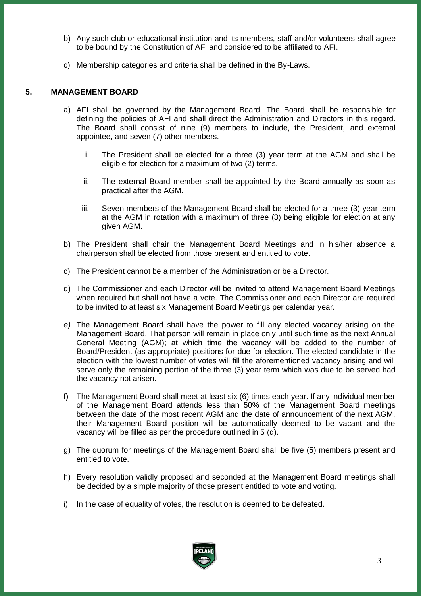- b) Any such club or educational institution and its members, staff and/or volunteers shall agree to be bound by the Constitution of AFI and considered to be affiliated to AFI.
- c) Membership categories and criteria shall be defined in the By-Laws.

## **5. MANAGEMENT BOARD**

- a) AFI shall be governed by the Management Board. The Board shall be responsible for defining the policies of AFI and shall direct the Administration and Directors in this regard. The Board shall consist of nine (9) members to include, the President, and external appointee, and seven (7) other members.
	- i. The President shall be elected for a three (3) year term at the AGM and shall be eligible for election for a maximum of two (2) terms.
	- ii. The external Board member shall be appointed by the Board annually as soon as practical after the AGM.
	- iii. Seven members of the Management Board shall be elected for a three (3) year term at the AGM in rotation with a maximum of three (3) being eligible for election at any given AGM.
- b) The President shall chair the Management Board Meetings and in his/her absence a chairperson shall be elected from those present and entitled to vote.
- c) The President cannot be a member of the Administration or be a Director.
- d) The Commissioner and each Director will be invited to attend Management Board Meetings when required but shall not have a vote. The Commissioner and each Director are required to be invited to at least six Management Board Meetings per calendar year.
- *e)* The Management Board shall have the power to fill any elected vacancy arising on the Management Board. That person will remain in place only until such time as the next Annual General Meeting (AGM); at which time the vacancy will be added to the number of Board/President (as appropriate) positions for due for election. The elected candidate in the election with the lowest number of votes will fill the aforementioned vacancy arising and will serve only the remaining portion of the three (3) year term which was due to be served had the vacancy not arisen.
- f) The Management Board shall meet at least six (6) times each year. If any individual member of the Management Board attends less than 50% of the Management Board meetings between the date of the most recent AGM and the date of announcement of the next AGM, their Management Board position will be automatically deemed to be vacant and the vacancy will be filled as per the procedure outlined in 5 (d).
- g) The quorum for meetings of the Management Board shall be five (5) members present and entitled to vote.
- h) Every resolution validly proposed and seconded at the Management Board meetings shall be decided by a simple majority of those present entitled to vote and voting.
- i) In the case of equality of votes, the resolution is deemed to be defeated.

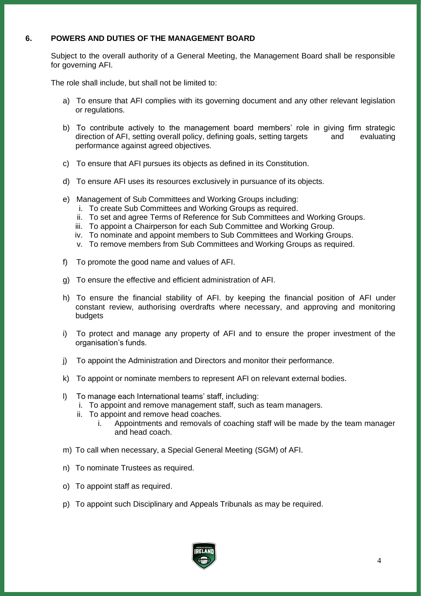## **6. POWERS AND DUTIES OF THE MANAGEMENT BOARD**

Subject to the overall authority of a General Meeting, the Management Board shall be responsible for governing AFI.

The role shall include, but shall not be limited to:

- a) To ensure that AFI complies with its governing document and any other relevant legislation or regulations.
- b) To contribute actively to the management board members' role in giving firm strategic direction of AFI, setting overall policy, defining goals, setting targets and evaluating performance against agreed objectives.
- c) To ensure that AFI pursues its objects as defined in its Constitution.
- d) To ensure AFI uses its resources exclusively in pursuance of its objects.
- e) Management of Sub Committees and Working Groups including:
	- i. To create Sub Committees and Working Groups as required.
	- ii. To set and agree Terms of Reference for Sub Committees and Working Groups.
	- iii. To appoint a Chairperson for each Sub Committee and Working Group.
	- iv. To nominate and appoint members to Sub Committees and Working Groups.
	- v. To remove members from Sub Committees and Working Groups as required.
- f) To promote the good name and values of AFI.
- g) To ensure the effective and efficient administration of AFI.
- h) To ensure the financial stability of AFI. by keeping the financial position of AFI under constant review, authorising overdrafts where necessary, and approving and monitoring budgets
- i) To protect and manage any property of AFI and to ensure the proper investment of the organisation's funds.
- j) To appoint the Administration and Directors and monitor their performance.
- k) To appoint or nominate members to represent AFI on relevant external bodies.
- l) To manage each International teams' staff, including:
	- i. To appoint and remove management staff, such as team managers.
	- ii. To appoint and remove head coaches.
		- i. Appointments and removals of coaching staff will be made by the team manager and head coach.
- m) To call when necessary, a Special General Meeting (SGM) of AFI.
- n) To nominate Trustees as required.
- o) To appoint staff as required.
- p) To appoint such Disciplinary and Appeals Tribunals as may be required.

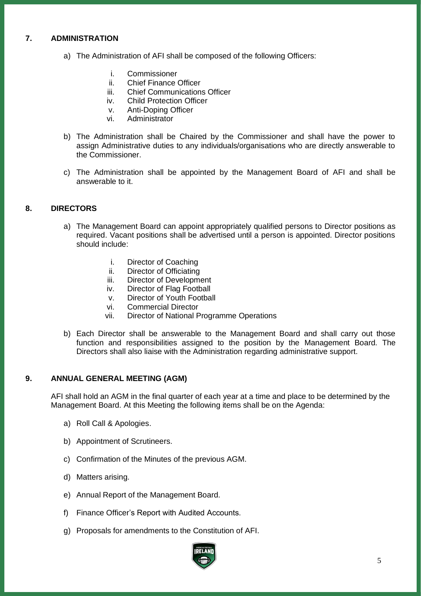# **7. ADMINISTRATION**

- a) The Administration of AFI shall be composed of the following Officers:
	- i. Commissioner<br>ii Chief Finance (
	- Chief Finance Officer
	- iii. Chief Communications Officer
	- iv. Child Protection Officer
	- v. Anti-Doping Officer
	- vi. Administrator
- b) The Administration shall be Chaired by the Commissioner and shall have the power to assign Administrative duties to any individuals/organisations who are directly answerable to the Commissioner.
- c) The Administration shall be appointed by the Management Board of AFI and shall be answerable to it.

## **8. DIRECTORS**

- a) The Management Board can appoint appropriately qualified persons to Director positions as required. Vacant positions shall be advertised until a person is appointed. Director positions should include:
	- i. Director of Coaching
	- ii. Director of Officiating
	- iii. Director of Development
	- iv. Director of Flag Football
	- v. Director of Youth Football
	- vi. Commercial Director
	- vii. Director of National Programme Operations
- b) Each Director shall be answerable to the Management Board and shall carry out those function and responsibilities assigned to the position by the Management Board. The Directors shall also liaise with the Administration regarding administrative support.

## **9. ANNUAL GENERAL MEETING (AGM)**

AFI shall hold an AGM in the final quarter of each year at a time and place to be determined by the Management Board. At this Meeting the following items shall be on the Agenda:

- a) Roll Call & Apologies.
- b) Appointment of Scrutineers.
- c) Confirmation of the Minutes of the previous AGM.
- d) Matters arising.
- e) Annual Report of the Management Board.
- f) Finance Officer's Report with Audited Accounts.
- g) Proposals for amendments to the Constitution of AFI.

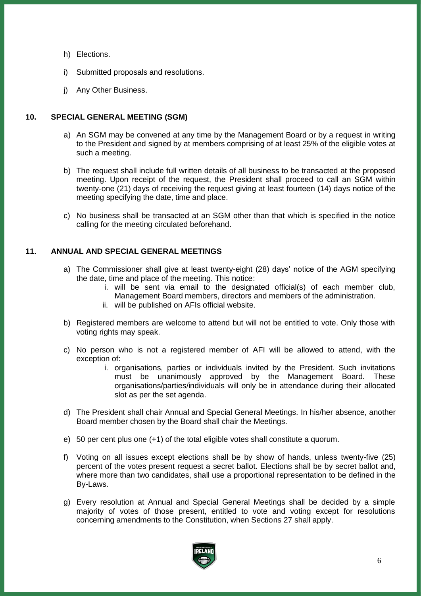- h) Elections.
- i) Submitted proposals and resolutions.
- j) Any Other Business.

## **10. SPECIAL GENERAL MEETING (SGM)**

- a) An SGM may be convened at any time by the Management Board or by a request in writing to the President and signed by at members comprising of at least 25% of the eligible votes at such a meeting.
- b) The request shall include full written details of all business to be transacted at the proposed meeting. Upon receipt of the request, the President shall proceed to call an SGM within twenty-one (21) days of receiving the request giving at least fourteen (14) days notice of the meeting specifying the date, time and place.
- c) No business shall be transacted at an SGM other than that which is specified in the notice calling for the meeting circulated beforehand.

## **11. ANNUAL AND SPECIAL GENERAL MEETINGS**

- a) The Commissioner shall give at least twenty-eight (28) days' notice of the AGM specifying the date, time and place of the meeting. This notice:
	- i. will be sent via email to the designated official(s) of each member club, Management Board members, directors and members of the administration.
	- ii. will be published on AFIs official website.
- b) Registered members are welcome to attend but will not be entitled to vote. Only those with voting rights may speak.
- c) No person who is not a registered member of AFI will be allowed to attend, with the exception of:
	- i. organisations, parties or individuals invited by the President. Such invitations must be unanimously approved by the Management Board. These organisations/parties/individuals will only be in attendance during their allocated slot as per the set agenda.
- d) The President shall chair Annual and Special General Meetings. In his/her absence, another Board member chosen by the Board shall chair the Meetings.
- e) 50 per cent plus one (+1) of the total eligible votes shall constitute a quorum.
- f) Voting on all issues except elections shall be by show of hands, unless twenty-five (25) percent of the votes present request a secret ballot. Elections shall be by secret ballot and, where more than two candidates, shall use a proportional representation to be defined in the By-Laws.
- g) Every resolution at Annual and Special General Meetings shall be decided by a simple majority of votes of those present, entitled to vote and voting except for resolutions concerning amendments to the Constitution, when Sections 27 shall apply.

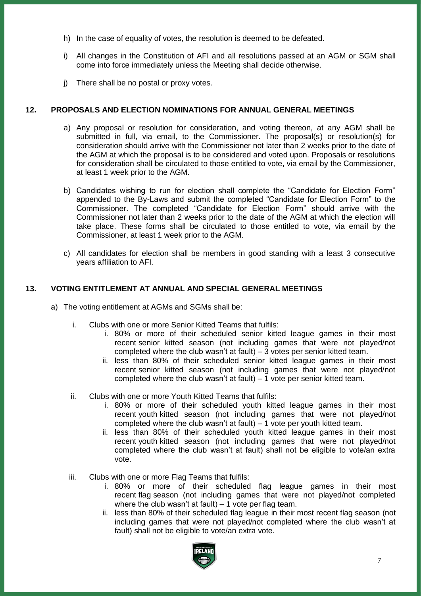- h) In the case of equality of votes, the resolution is deemed to be defeated.
- i) All changes in the Constitution of AFI and all resolutions passed at an AGM or SGM shall come into force immediately unless the Meeting shall decide otherwise.
- j) There shall be no postal or proxy votes.

## **12. PROPOSALS AND ELECTION NOMINATIONS FOR ANNUAL GENERAL MEETINGS**

- a) Any proposal or resolution for consideration, and voting thereon, at any AGM shall be submitted in full, via email, to the Commissioner. The proposal(s) or resolution(s) for consideration should arrive with the Commissioner not later than 2 weeks prior to the date of the AGM at which the proposal is to be considered and voted upon. Proposals or resolutions for consideration shall be circulated to those entitled to vote, via email by the Commissioner, at least 1 week prior to the AGM.
- b) Candidates wishing to run for election shall complete the "Candidate for Election Form" appended to the By-Laws and submit the completed "Candidate for Election Form" to the Commissioner. The completed "Candidate for Election Form" should arrive with the Commissioner not later than 2 weeks prior to the date of the AGM at which the election will take place. These forms shall be circulated to those entitled to vote, via email by the Commissioner, at least 1 week prior to the AGM.
- c) All candidates for election shall be members in good standing with a least 3 consecutive years affiliation to AFI.

## **13. VOTING ENTITLEMENT AT ANNUAL AND SPECIAL GENERAL MEETINGS**

- a) The voting entitlement at AGMs and SGMs shall be:
	- i. Clubs with one or more Senior Kitted Teams that fulfils:
		- i. 80% or more of their scheduled senior kitted league games in their most recent senior kitted season (not including games that were not played/not completed where the club wasn't at fault) – 3 votes per senior kitted team.
		- ii. less than 80% of their scheduled senior kitted league games in their most recent senior kitted season (not including games that were not played/not completed where the club wasn't at fault) – 1 vote per senior kitted team.
	- ii. Clubs with one or more Youth Kitted Teams that fulfils:
		- i. 80% or more of their scheduled youth kitted league games in their most recent youth kitted season (not including games that were not played/not completed where the club wasn't at fault) – 1 vote per youth kitted team.
		- ii. less than 80% of their scheduled youth kitted league games in their most recent youth kitted season (not including games that were not played/not completed where the club wasn't at fault) shall not be eligible to vote/an extra vote.
	- iii. Clubs with one or more Flag Teams that fulfils:
		- i. 80% or more of their scheduled flag league games in their most recent flag season (not including games that were not played/not completed where the club wasn't at fault)  $-1$  vote per flag team.
		- ii. less than 80% of their scheduled flag league in their most recent flag season (not including games that were not played/not completed where the club wasn't at fault) shall not be eligible to vote/an extra vote.

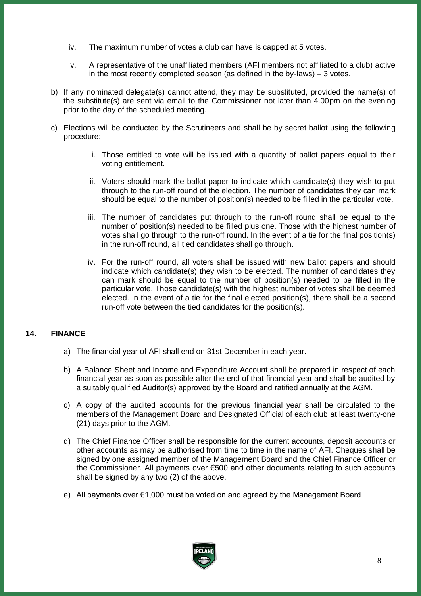- iv. The maximum number of votes a club can have is capped at 5 votes.
- v. A representative of the unaffiliated members (AFI members not affiliated to a club) active in the most recently completed season (as defined in the by-laws) – 3 votes.
- b) If any nominated delegate(s) cannot attend, they may be substituted, provided the name(s) of the substitute(s) are sent via email to the Commissioner not later than 4.00pm on the evening prior to the day of the scheduled meeting.
- c) Elections will be conducted by the Scrutineers and shall be by secret ballot using the following procedure:
	- i. Those entitled to vote will be issued with a quantity of ballot papers equal to their voting entitlement.
	- ii. Voters should mark the ballot paper to indicate which candidate(s) they wish to put through to the run-off round of the election. The number of candidates they can mark should be equal to the number of position(s) needed to be filled in the particular vote.
	- iii. The number of candidates put through to the run-off round shall be equal to the number of position(s) needed to be filled plus one. Those with the highest number of votes shall go through to the run-off round. In the event of a tie for the final position(s) in the run-off round, all tied candidates shall go through.
	- iv. For the run-off round, all voters shall be issued with new ballot papers and should indicate which candidate(s) they wish to be elected. The number of candidates they can mark should be equal to the number of position(s) needed to be filled in the particular vote. Those candidate(s) with the highest number of votes shall be deemed elected. In the event of a tie for the final elected position(s), there shall be a second run-off vote between the tied candidates for the position(s).

# **14. FINANCE**

- a) The financial year of AFI shall end on 31st December in each year.
- b) A Balance Sheet and Income and Expenditure Account shall be prepared in respect of each financial year as soon as possible after the end of that financial year and shall be audited by a suitably qualified Auditor(s) approved by the Board and ratified annually at the AGM.
- c) A copy of the audited accounts for the previous financial year shall be circulated to the members of the Management Board and Designated Official of each club at least twenty-one (21) days prior to the AGM.
- d) The Chief Finance Officer shall be responsible for the current accounts, deposit accounts or other accounts as may be authorised from time to time in the name of AFI. Cheques shall be signed by one assigned member of the Management Board and the Chief Finance Officer or the Commissioner. All payments over €500 and other documents relating to such accounts shall be signed by any two (2) of the above.
- e) All payments over €1,000 must be voted on and agreed by the Management Board.

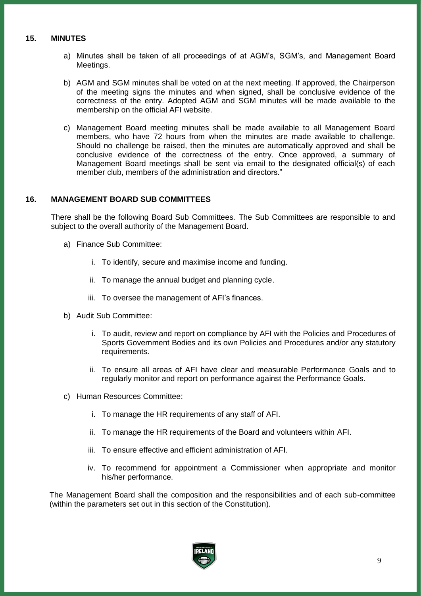## **15. MINUTES**

- a) Minutes shall be taken of all proceedings of at AGM's, SGM's, and Management Board Meetings.
- b) AGM and SGM minutes shall be voted on at the next meeting. If approved, the Chairperson of the meeting signs the minutes and when signed, shall be conclusive evidence of the correctness of the entry. Adopted AGM and SGM minutes will be made available to the membership on the official AFI website.
- c) Management Board meeting minutes shall be made available to all Management Board members, who have 72 hours from when the minutes are made available to challenge. Should no challenge be raised, then the minutes are automatically approved and shall be conclusive evidence of the correctness of the entry. Once approved, a summary of Management Board meetings shall be sent via email to the designated official(s) of each member club, members of the administration and directors."

## **16. MANAGEMENT BOARD SUB COMMITTEES**

There shall be the following Board Sub Committees. The Sub Committees are responsible to and subject to the overall authority of the Management Board.

- a) Finance Sub Committee:
	- i. To identify, secure and maximise income and funding.
	- ii. To manage the annual budget and planning cycle.
	- iii. To oversee the management of AFI's finances.
- b) Audit Sub Committee:
	- i. To audit, review and report on compliance by AFI with the Policies and Procedures of Sports Government Bodies and its own Policies and Procedures and/or any statutory requirements.
	- ii. To ensure all areas of AFI have clear and measurable Performance Goals and to regularly monitor and report on performance against the Performance Goals.
- c) Human Resources Committee:
	- i. To manage the HR requirements of any staff of AFI.
	- ii. To manage the HR requirements of the Board and volunteers within AFI.
	- iii. To ensure effective and efficient administration of AFI.
	- iv. To recommend for appointment a Commissioner when appropriate and monitor his/her performance.

The Management Board shall the composition and the responsibilities and of each sub-committee (within the parameters set out in this section of the Constitution).

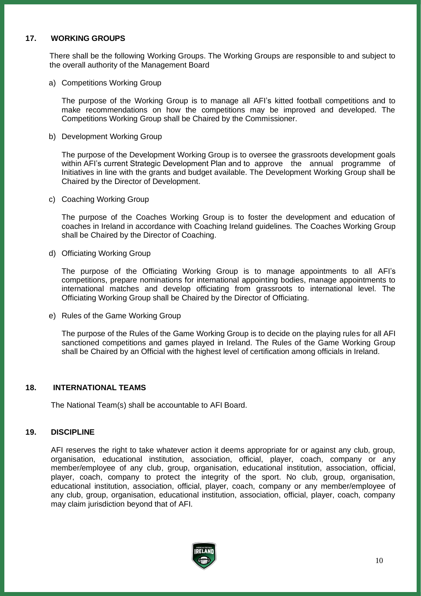## **17. WORKING GROUPS**

There shall be the following Working Groups. The Working Groups are responsible to and subject to the overall authority of the Management Board

a) Competitions Working Group

The purpose of the Working Group is to manage all AFI's kitted football competitions and to make recommendations on how the competitions may be improved and developed. The Competitions Working Group shall be Chaired by the Commissioner.

b) Development Working Group

The purpose of the Development Working Group is to oversee the grassroots development goals within AFI's current Strategic Development Plan and to approve the annual programme of Initiatives in line with the grants and budget available. The Development Working Group shall be Chaired by the Director of Development.

c) Coaching Working Group

The purpose of the Coaches Working Group is to foster the development and education of coaches in Ireland in accordance with Coaching Ireland guidelines. The Coaches Working Group shall be Chaired by the Director of Coaching.

d) Officiating Working Group

The purpose of the Officiating Working Group is to manage appointments to all AFI's competitions, prepare nominations for international appointing bodies, manage appointments to international matches and develop officiating from grassroots to international level. The Officiating Working Group shall be Chaired by the Director of Officiating.

e) Rules of the Game Working Group

The purpose of the Rules of the Game Working Group is to decide on the playing rules for all AFI sanctioned competitions and games played in Ireland. The Rules of the Game Working Group shall be Chaired by an Official with the highest level of certification among officials in Ireland.

## **18. INTERNATIONAL TEAMS**

The National Team(s) shall be accountable to AFI Board.

## **19. DISCIPLINE**

AFI reserves the right to take whatever action it deems appropriate for or against any club, group, organisation, educational institution, association, official, player, coach, company or any member/employee of any club, group, organisation, educational institution, association, official, player, coach, company to protect the integrity of the sport. No club, group, organisation, educational institution, association, official, player, coach, company or any member/employee of any club, group, organisation, educational institution, association, official, player, coach, company may claim jurisdiction beyond that of AFI.

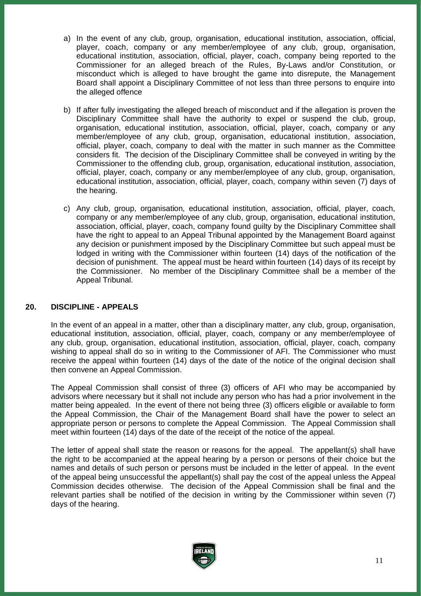- a) In the event of any club, group, organisation, educational institution, association, official, player, coach, company or any member/employee of any club, group, organisation, educational institution, association, official, player, coach, company being reported to the Commissioner for an alleged breach of the Rules, By-Laws and/or Constitution, or misconduct which is alleged to have brought the game into disrepute, the Management Board shall appoint a Disciplinary Committee of not less than three persons to enquire into the alleged offence
- b) If after fully investigating the alleged breach of misconduct and if the allegation is proven the Disciplinary Committee shall have the authority to expel or suspend the club, group, organisation, educational institution, association, official, player, coach, company or any member/employee of any club, group, organisation, educational institution, association, official, player, coach, company to deal with the matter in such manner as the Committee considers fit. The decision of the Disciplinary Committee shall be conveyed in writing by the Commissioner to the offending club, group, organisation, educational institution, association, official, player, coach, company or any member/employee of any club, group, organisation, educational institution, association, official, player, coach, company within seven (7) days of the hearing.
- c) Any club, group, organisation, educational institution, association, official, player, coach, company or any member/employee of any club, group, organisation, educational institution, association, official, player, coach, company found guilty by the Disciplinary Committee shall have the right to appeal to an Appeal Tribunal appointed by the Management Board against any decision or punishment imposed by the Disciplinary Committee but such appeal must be lodged in writing with the Commissioner within fourteen (14) days of the notification of the decision of punishment. The appeal must be heard within fourteen (14) days of its receipt by the Commissioner. No member of the Disciplinary Committee shall be a member of the Appeal Tribunal.

## **20. DISCIPLINE - APPEALS**

In the event of an appeal in a matter, other than a disciplinary matter, any club, group, organisation, educational institution, association, official, player, coach, company or any member/employee of any club, group, organisation, educational institution, association, official, player, coach, company wishing to appeal shall do so in writing to the Commissioner of AFI. The Commissioner who must receive the appeal within fourteen (14) days of the date of the notice of the original decision shall then convene an Appeal Commission.

The Appeal Commission shall consist of three (3) officers of AFI who may be accompanied by advisors where necessary but it shall not include any person who has had a prior involvement in the matter being appealed. In the event of there not being three (3) officers eligible or available to form the Appeal Commission, the Chair of the Management Board shall have the power to select an appropriate person or persons to complete the Appeal Commission. The Appeal Commission shall meet within fourteen (14) days of the date of the receipt of the notice of the appeal.

The letter of appeal shall state the reason or reasons for the appeal. The appellant(s) shall have the right to be accompanied at the appeal hearing by a person or persons of their choice but the names and details of such person or persons must be included in the letter of appeal. In the event of the appeal being unsuccessful the appellant(s) shall pay the cost of the appeal unless the Appeal Commission decides otherwise. The decision of the Appeal Commission shall be final and the relevant parties shall be notified of the decision in writing by the Commissioner within seven (7) days of the hearing.

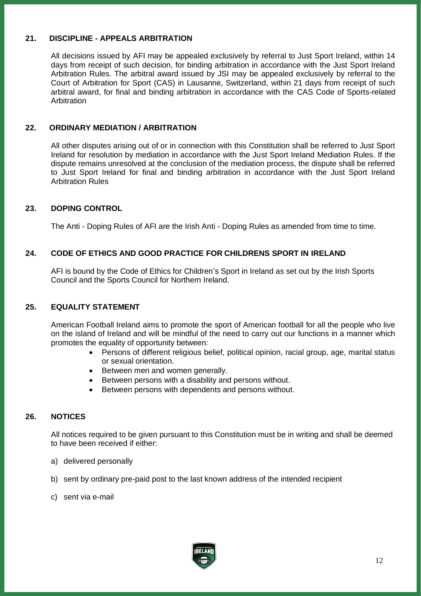## **21. DISCIPLINE - APPEALS ARBITRATION**

All decisions issued by AFI may be appealed exclusively by referral to Just Sport Ireland, within 14 days from receipt of such decision, for binding arbitration in accordance with the Just Sport Ireland Arbitration Rules. The arbitral award issued by JSI may be appealed exclusively by referral to the Court of Arbitration for Sport (CAS) in Lausanne, Switzerland, within 21 days from receipt of such arbitral award, for final and binding arbitration in accordance with the CAS Code of Sports-related Arbitration

## **22. ORDINARY MEDIATION / ARBITRATION**

All other disputes arising out of or in connection with this Constitution shall be referred to Just Sport Ireland for resolution by mediation in accordance with the Just Sport Ireland Mediation Rules. If the dispute remains unresolved at the conclusion of the mediation process, the dispute shall be referred to Just Sport Ireland for final and binding arbitration in accordance with the Just Sport Ireland Arbitration Rules

## **23. DOPING CONTROL**

The Anti - Doping Rules of AFI are the Irish Anti - Doping Rules as amended from time to time.

## **24. CODE OF ETHICS AND GOOD PRACTICE FOR CHILDRENS SPORT IN IRELAND**

AFI is bound by the Code of Ethics for Children's Sport in Ireland as set out by the Irish Sports Council and the Sports Council for Northern Ireland.

## **25. EQUALITY STATEMENT**

American Football Ireland aims to promote the sport of American football for all the people who live on the island of Ireland and will be mindful of the need to carry out our functions in a manner which promotes the equality of opportunity between:

- Persons of different religious belief, political opinion, racial group, age, marital status or sexual orientation.
- Between men and women generally.
- Between persons with a disability and persons without.
- Between persons with dependents and persons without.

## **26. NOTICES**

All notices required to be given pursuant to this Constitution must be in writing and shall be deemed to have been received if either:

- a) delivered personally
- b) sent by ordinary pre-paid post to the last known address of the intended recipient
- c) sent via e-mail